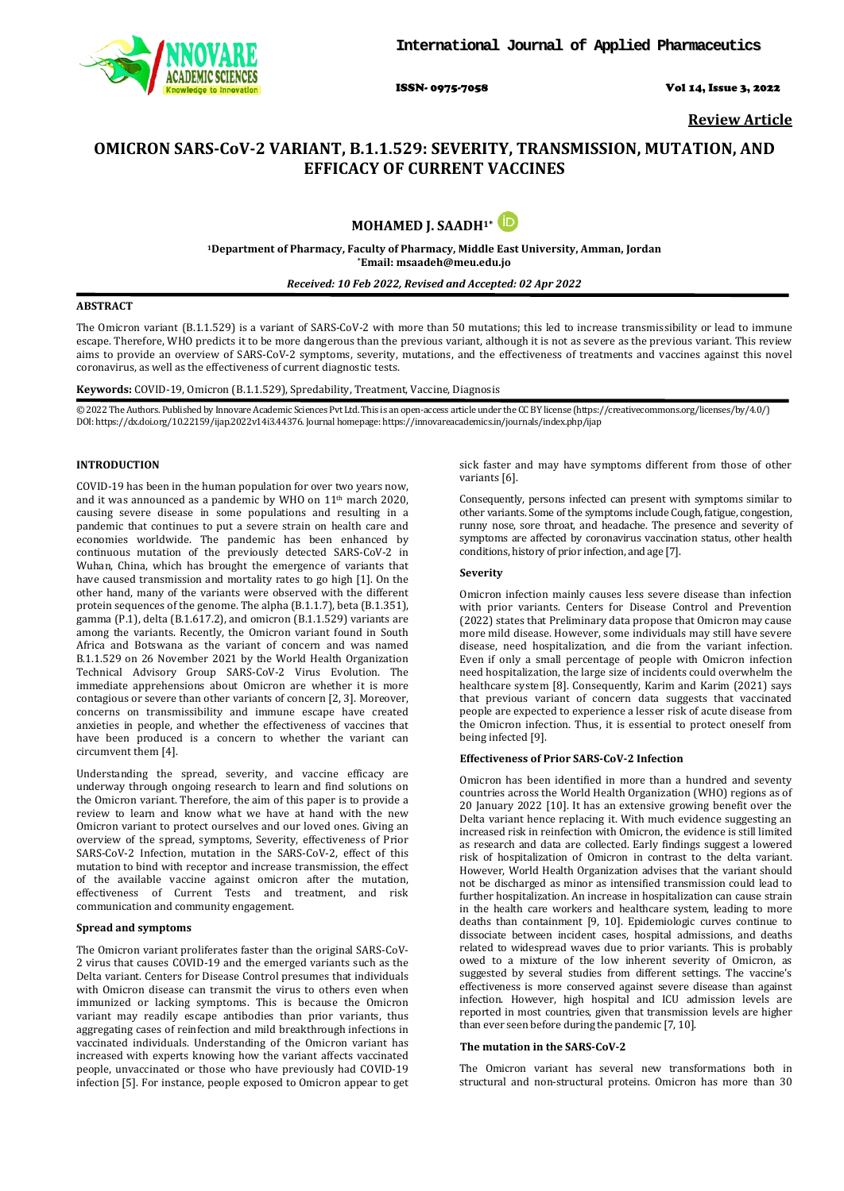

ISSN- 0975-7058 Vol 14, Issue 3, 2022

**Review Article**

# **OMICRON SARS-CoV-2 VARIANT, B.1.1.529: SEVERITY, TRANSMISSION, MUTATION, AND EFFICACY OF CURRENT VACCINES**

# **MOHAMED J. SAADH1\***

**1Department of Pharmacy, Faculty of Pharmacy, Middle East University, Amman, Jordan \*Email: msaadeh@meu.edu.jo**

# *Received: 10 Feb 2022, Revised and Accepted: 02 Apr 2022*

# **ABSTRACT**

The Omicron variant (B.1.1.529) is a variant of SARS-CoV-2 with more than 50 mutations; this led to increase transmissibility or lead to immune escape. Therefore, WHO predicts it to be more dangerous than the previous variant, although it is not as severe as the previous variant. This review aims to provide an overview of SARS-CoV-2 symptoms, severity, mutations, and the effectiveness of treatments and vaccines against this novel coronavirus, as well as the effectiveness of current diagnostic tests.

# **Keywords:** COVID-19, Omicron (B.1.1.529), Spredability, Treatment, Vaccine, Diagnosis

© 2022 The Authors. Published by Innovare Academic Sciences Pvt Ltd. This is an open-access article under the CC BY license [\(https://creativecommons.org/licenses/by/4.0/\)](https://creativecommons.org/licenses/by/4.0/) DOI: https://dx.doi.org/10.22159/ijap.2022v14i3.44376. Journal homepage[: https://innovareacademics.in/journals/index.php/ijap](https://innovareacademics.in/journals/index.php/ijap)

# **INTRODUCTION**

COVID-19 has been in the human population for over two years now, and it was announced as a pandemic by WHO on 11<sup>th</sup> march 2020, causing severe disease in some populations and resulting in a pandemic that continues to put a severe strain on health care and economies worldwide. The pandemic has been enhanced by continuous mutation of the previously detected SARS-CoV-2 in Wuhan, China, which has brought the emergence of variants that have caused transmission and mortality rates to go high [1]. On the other hand, many of the variants were observed with the different protein sequences of the genome. The alpha (B.1.1.7), beta (B.1.351), gamma (P.1), delta (B.1.617.2), and omicron (B.1.1.529) variants are among the variants. Recently, the Omicron variant found in South Africa and Botswana as the variant of concern and was named B.1.1.529 on 26 November 2021 by the World Health Organization Technical Advisory Group SARS-CoV-2 Virus Evolution. The immediate apprehensions about Omicron are whether it is more contagious or severe than other variants of concern [2, 3]. Moreover, concerns on transmissibility and immune escape have created anxieties in people, and whether the effectiveness of vaccines that have been produced is a concern to whether the variant can circumvent them [4].

Understanding the spread, severity, and vaccine efficacy are underway through ongoing research to learn and find solutions on the Omicron variant. Therefore, the aim of this paper is to provide a review to learn and know what we have at hand with the new Omicron variant to protect ourselves and our loved ones. Giving an overview of the spread, symptoms, Severity, effectiveness of Prior SARS-CoV-2 Infection, mutation in the SARS-CoV-2, effect of this mutation to bind with receptor and increase transmission, the effect of the available vaccine against omicron after the mutation, effectiveness of Current Tests and treatment, and risk communication and community engagement.

#### **Spread and symptoms**

The Omicron variant proliferates faster than the original SARS-CoV-2 virus that causes COVID-19 and the emerged variants such as the Delta variant. Centers for Disease Control presumes that individuals with Omicron disease can transmit the virus to others even when immunized or lacking symptoms. This is because the Omicron variant may readily escape antibodies than prior variants, thus aggregating cases of reinfection and mild breakthrough infections in vaccinated individuals. Understanding of the Omicron variant has increased with experts knowing how the variant affects vaccinated people, unvaccinated or those who have previously had COVID-19 infection [5]. For instance, people exposed to Omicron appear to get sick faster and may have symptoms different from those of other variants [6].

Consequently, persons infected can present with symptoms similar to other variants. Some of the symptoms include Cough, fatigue, congestion, runny nose, sore throat, and headache. The presence and severity of symptoms are affected by coronavirus vaccination status, other health conditions, history of prior infection, and age [7].

#### **Severity**

Omicron infection mainly causes less severe disease than infection with prior variants. Centers for Disease Control and Prevention (2022) states that Preliminary data propose that Omicron may cause more mild disease. However, some individuals may still have severe disease, need hospitalization, and die from the variant infection. Even if only a small percentage of people with Omicron infection need hospitalization, the large size of incidents could overwhelm the healthcare system [8]. Consequently, Karim and Karim (2021) says that previous variant of concern data suggests that vaccinated people are expected to experience a lesser risk of acute disease from the Omicron infection. Thus, it is essential to protect oneself from being infected [9].

# **Effectiveness of Prior SARS-CoV-2 Infection**

Omicron has been identified in more than a hundred and seventy countries across the World Health Organization (WHO) regions as of 20 January 2022 [10]. It has an extensive growing benefit over the Delta variant hence replacing it. With much evidence suggesting an increased risk in reinfection with Omicron, the evidence is still limited as research and data are collected. Early findings suggest a lowered risk of hospitalization of Omicron in contrast to the delta variant. However, World Health Organization advises that the variant should not be discharged as minor as intensified transmission could lead to further hospitalization. An increase in hospitalization can cause strain in the health care workers and healthcare system, leading to more deaths than containment [9, 10]. Epidemiologic curves continue to dissociate between incident cases, hospital admissions, and deaths related to widespread waves due to prior variants. This is probably owed to a mixture of the low inherent severity of Omicron, as suggested by several studies from different settings. The vaccine's effectiveness is more conserved against severe disease than against infection. However, high hospital and ICU admission levels are reported in most countries, given that transmission levels are higher than ever seen before during the pandemic [7, 10].

#### **The mutation in the SARS-CoV-2**

The Omicron variant has several new transformations both in structural and non-structural proteins. Omicron has more than 30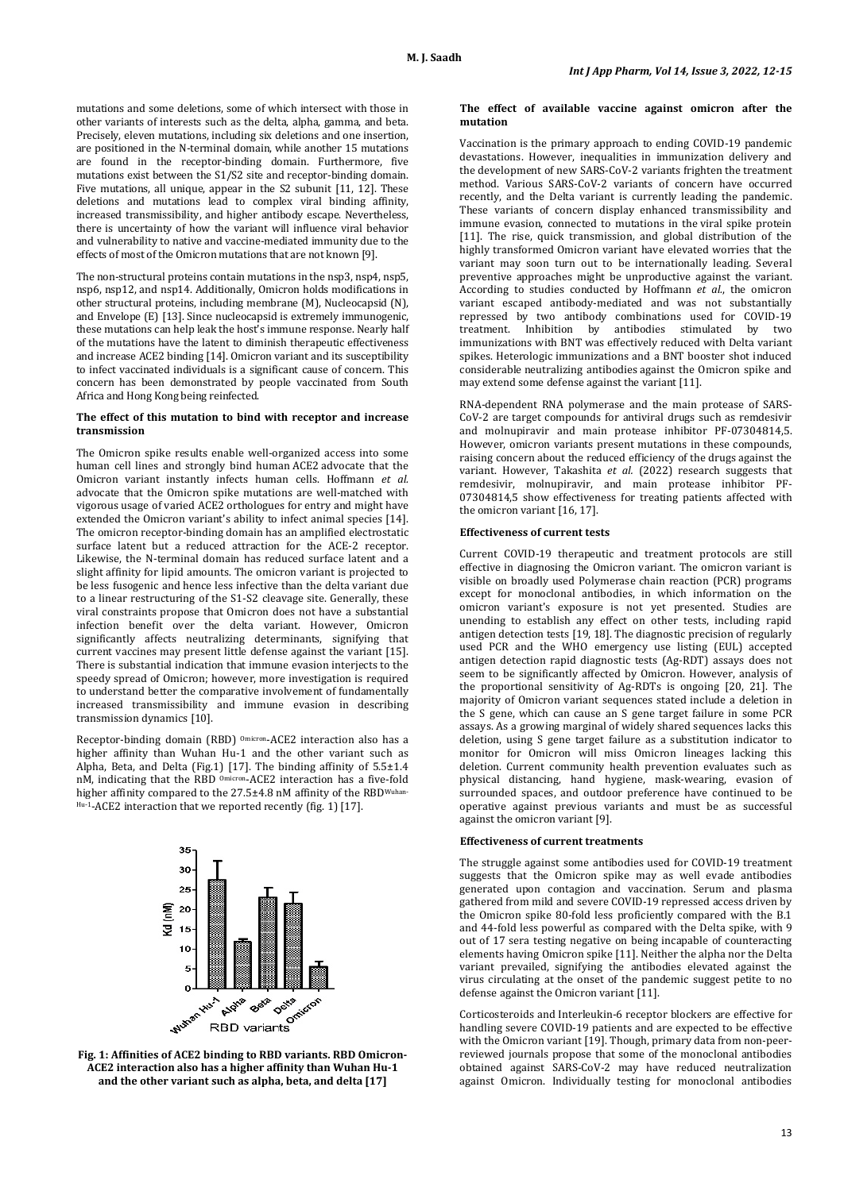mutations and some deletions, some of which intersect with those in other variants of interests such as the delta, alpha, gamma, and beta. Precisely, eleven mutations, including six deletions and one insertion, are positioned in the N-terminal domain, while another 15 mutations are found in the receptor-binding domain. Furthermore, five mutations exist between the S1/S2 site and receptor-binding domain. Five mutations, all unique, appear in the S2 subunit [11, 12]. These deletions and mutations lead to complex viral binding affinity, increased transmissibility, and higher antibody escape. Nevertheless, there is uncertainty of how the variant will influence viral behavior and vulnerability to native and vaccine-mediated immunity due to the effects of most of the Omicron mutations that are not known [9].

The non-structural proteins contain mutations in the nsp3, nsp4, nsp5, nsp6, nsp12, and nsp14. Additionally, Omicron holds modifications in other structural proteins, including membrane (M), Nucleocapsid (N), and Envelope (E) [13]. Since nucleocapsid is extremely immunogenic, these mutations can help leak the host's immune response. Nearly half of the mutations have the latent to diminish therapeutic effectiveness and increase ACE2 binding [14]. Omicron variant and its susceptibility to infect vaccinated individuals is a significant cause of concern. This concern has been demonstrated by people vaccinated from South Africa and Hong Kong being reinfected.

#### **The effect of this mutation to bind with receptor and increase transmission**

The Omicron spike results enable well-organized access into some human cell lines and strongly bind human [ACE2](https://www.sciencedirect.com/topics/biochemistry-genetics-and-molecular-biology/angiotensin-converting-enzyme-2) advocate that the Omicron variant instantly infects human cells. Hoffmann *et al.* advocate that the Omicron spike mutations are well-matched with vigorous usage of varied ACE2 orthologues for entry and might have extended the Omicron variant's ability to infect animal species [14]. The omicron receptor-binding domain has an amplified electrostatic surface latent but a reduced attraction for the ACE-2 receptor. Likewise, the N-terminal domain has reduced surface latent and a slight affinity for lipid amounts. The omicron variant is projected to be less fusogenic and hence less infective than the delta variant due to a linear restructuring of the S1-S2 cleavage site. Generally, these viral constraints propose that Omicron does not have a substantial infection benefit over the delta variant. However, Omicron significantly affects neutralizing determinants, signifying that current vaccines may present little defense against the variant [15]. There is substantial indication that immune evasion interjects to the speedy spread of Omicron; however, more investigation is required to understand better the comparative involvement of fundamentally increased transmissibility and immune evasion in describing transmission dynamics [10].

Receptor-binding domain (RBD) <sup>Omicron</sup>-ACE2 interaction also has a higher affinity than Wuhan Hu-1 and the other variant such as Alpha, Beta, and Delta (Fig.1) [17]. The binding affinity of 5.5±1.4 nM, indicating that the RBD Omicron-ACE2 interaction has a five-fold higher affinity compared to the 27.5±4.8 nM affinity of the RBDWuhan Hu-1-ACE2 interaction that we reported recently (fig. 1) [17].



**ACE2 interaction also has a higher affinity than Wuhan Hu-1 and the other variant such as alpha, beta, and delta [17]**

#### **The effect of available vaccine against omicron after the mutation**

Vaccination is the primary approach to ending COVID-19 pandemic devastations. However, inequalities in immunization delivery and the development of new SARS-CoV-2 variants frighten the treatment method. Various SARS-CoV-2 variants of concern have occurred recently, and the Delta variant is currently leading the pandemic. These variants of concern display enhanced transmissibility and immune evasion, connected to mutations in the [viral spike](https://www.sciencedirect.com/topics/immunology-and-microbiology/virus-spike) protein [11]. The rise, quick transmission, and global distribution of the highly transformed Omicron variant have elevated worries that the variant may soon turn out to be internationally leading. Several preventive approaches might be unproductive against the variant. According to studies conducted by Hoffmann *et al.*, the omicron variant escaped antibody-mediated and was not substantially repressed by two antibody combinations used for COVID-19 treatment. Inhibition by antibodies stimulated by two immunizations with BNT was effectively reduced with Delta variant spikes. Heterologic immunizations and a BNT booster shot induced considerable [neutralizing antibodies](https://www.sciencedirect.com/topics/immunology-and-microbiology/neutralizing-antibody) against the Omicron spike and may extend some defense against the variant [11].

RNA-dependent RNA polymerase and the main protease of SARS-CoV-2 are target compounds for antiviral drugs such as remdesivir and molnupiravir and main protease inhibitor PF-07304814,5. However, omicron variants present mutations in these compounds, raising concern about the reduced efficiency of the drugs against the variant. However, Takashita *et al.* (2022) research suggests that remdesivir, molnupiravir, and main protease inhibitor PF-07304814,5 show effectiveness for treating patients affected with the omicron variant [16, 17].

# **Effectiveness of current tests**

Current COVID-19 therapeutic and treatment protocols are still effective in diagnosing the Omicron variant. The omicron variant is visible on broadly used Polymerase chain reaction (PCR) programs except for monoclonal antibodies, in which information on the omicron variant's exposure is not yet presented. Studies are unending to establish any effect on other tests, including rapid antigen detection tests [19, 18]. The diagnostic precision of regularly used PCR and the WHO emergency use listing (EUL) accepted antigen detection rapid diagnostic tests (Ag-RDT) assays does not seem to be significantly affected by Omicron. However, analysis of the proportional sensitivity of Ag-RDTs is ongoing [20, 21]. The majority of Omicron variant sequences stated include a deletion in the S gene, which can cause an S gene target failure in some PCR assays. As a growing marginal of widely shared sequences lacks this deletion, using S gene target failure as a substitution indicator to monitor for Omicron will miss Omicron lineages lacking this deletion. Current community health prevention evaluates such as physical distancing, hand hygiene, mask-wearing, evasion of surrounded spaces, and outdoor preference have continued to be operative against previous variants and must be as successful against the omicron variant [9].

#### **Effectiveness of current treatments**

The struggle against some antibodies used for COVID-19 treatment suggests that the Omicron spike may as well evade antibodies generated upon contagion and vaccination. Serum and plasma gathered from mild and severe COVID-19 repressed access driven by the Omicron spike 80-fold less proficiently compared with the B.1 and 44-fold less powerful as compared with the Delta spike, with 9 out of 17 sera testing negative on being incapable of counteracting elements having Omicron spike [11]. Neither the alpha nor the Delta variant prevailed, signifying the antibodies elevated against the virus circulating at the onset of the pandemic suggest petite to no defense against the Omicron variant [11].

Corticosteroids and Interleukin-6 receptor blockers are effective for handling severe COVID-19 patients and are expected to be effective with the Omicron variant [19]. Though, primary data from non-peerreviewed journals propose that some of the monoclonal antibodies obtained against SARS-CoV-2 may have reduced neutralization against Omicron. Individually testing for monoclonal antibodies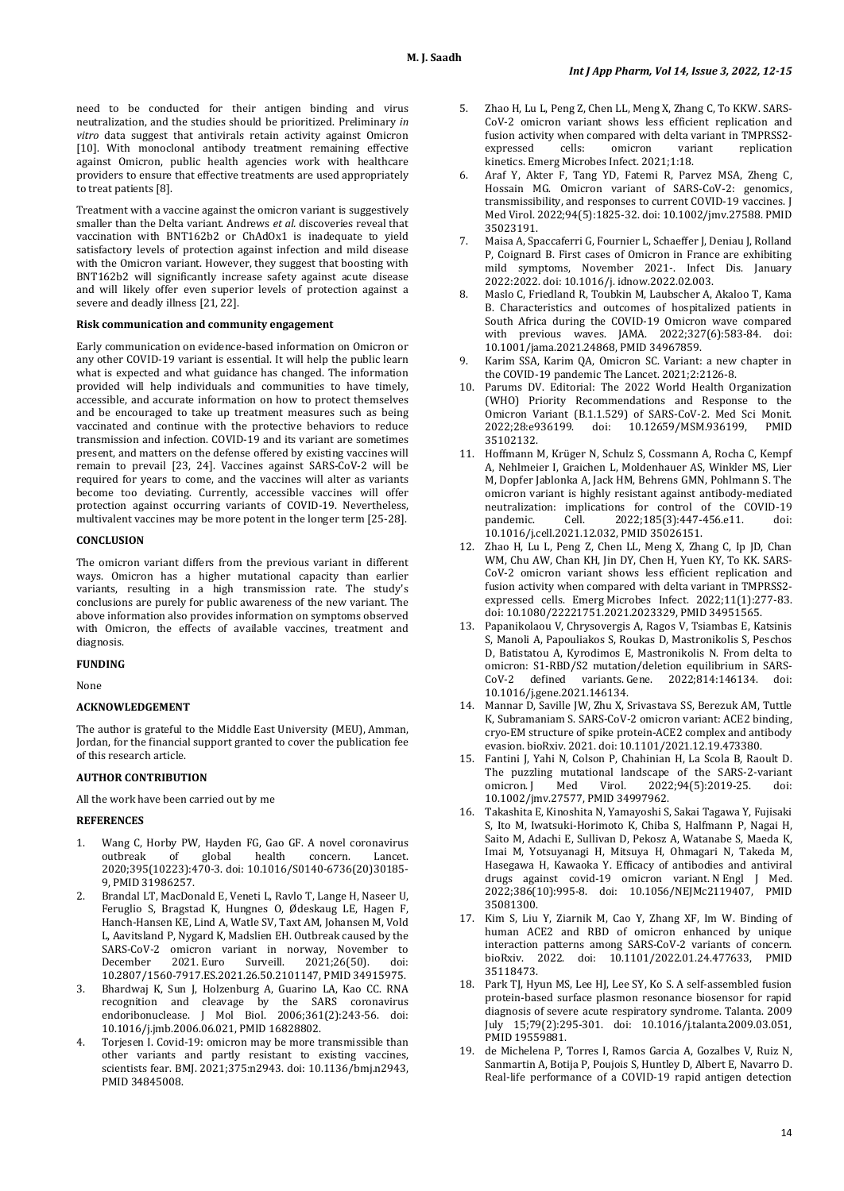need to be conducted for their antigen binding and virus neutralization, and the studies should be prioritized. Preliminary *in vitro* data suggest that antivirals retain activity against Omicron [10]. With monoclonal antibody treatment remaining effective against Omicron, public health agencies work with healthcare providers to ensure that effective treatments are used appropriately to treat patients [8].

Treatment with a vaccine against the omicron variant is suggestively smaller than the Delta variant. Andrews *et al.* discoveries reveal that vaccination with BNT162b2 or ChAdOx1 is inadequate to yield satisfactory levels of protection against infection and mild disease with the Omicron variant. However, they suggest that boosting with BNT162b2 will significantly increase safety against acute disease and will likely offer even superior levels of protection against a severe and deadly illness [21, 22].

# **Risk communication and community engagement**

Early communication on evidence-based information on Omicron or any other COVID-19 variant is essential. It will help the public learn what is expected and what guidance has changed. The information provided will help individuals and communities to have timely, accessible, and accurate information on how to protect themselves and be encouraged to take up treatment measures such as being vaccinated and continue with the protective behaviors to reduce transmission and infection. COVID-19 and its variant are sometimes present, and matters on the defense offered by existing vaccines will remain to prevail [23, 24]. Vaccines against SARS-CoV-2 will be required for years to come, and the vaccines will alter as variants become too deviating. Currently, accessible vaccines will offer protection against occurring variants of COVID-19. Nevertheless, multivalent vaccines may be more potent in the longer term [25-28].

#### **CONCLUSION**

The omicron variant differs from the previous variant in different ways. Omicron has a higher mutational capacity than earlier variants, resulting in a high transmission rate. The study's conclusions are purely for public awareness of the new variant. The above information also provides information on symptoms observed with Omicron, the effects of available vaccines, treatment and diagnosis.

# **FUNDING**

None

# **ACKNOWLEDGEMENT**

The author is grateful to the Middle East University (MEU), Amman, Jordan, for the financial support granted to cover the publication fee of this research article.

# **AUTHOR CONTRIBUTION**

All the work have been carried out by me

#### **REFERENCES**

- 1. Wang C, Horby PW, Hayden FG, Gao GF. A novel coronavirus outbreak of global health concern. Lancet. 2020;395(10223):470-3. doi[: 10.1016/S0140-6736\(20\)30185-](https://doi.org/10.1016/S0140-6736(20)30185-9) [9,](https://doi.org/10.1016/S0140-6736(20)30185-9) PMI[D 31986257.](https://www.ncbi.nlm.nih.gov/pubmed/31986257)
- 2. Brandal LT, MacDonald E, Veneti L, Ravlo T, Lange H, Naseer U, Feruglio S, Bragstad K, Hungnes O, Ødeskaug LE, Hagen F, Hanch-Hansen KE, Lind A, Watle SV, Taxt AM, Johansen M, Vold L, Aavitsland P, Nygard K, Madslien EH. Outbreak caused by the SARS-CoV-2 omicron variant in norway, November to<br>December 2021. Euro Surveill. 2021:26(50). doi: December 2021. Euro Surveill. 2021;26(50). doi: [10.2807/1560-7917.ES.2021.26.50.2101147,](https://doi.org/10.2807/1560-7917.ES.2021.26.50.2101147) PMI[D 34915975.](http://www.ncbi.nlm.nih.gov/pubmed/34915975)
- 3. Bhardwaj K, Sun J, Holzenburg A, Guarino LA, Kao CC. RNA recognition and cleavage by the SARS coronavirus endoribonuclease. J Mol Biol. 2006;361(2):243-56. doi: [10.1016/j.jmb.2006.06.021,](https://doi.org/10.1016/j.jmb.2006.06.021) PMI[D 16828802.](https://www.ncbi.nlm.nih.gov/pubmed/16828802)
- 4. Torjesen I. Covid-19: omicron may be more transmissible than other variants and partly resistant to existing vaccines, scientists fear. BMJ. 2021;375:n2943. doi: [10.1136/bmj.n2943,](https://doi.org/10.1136/bmj.n2943)  PMI[D 34845008.](https://www.ncbi.nlm.nih.gov/pubmed/34845008)
- 5. Zhao H, Lu L, Peng Z, Chen LL, Meng X, Zhang C, To KKW. SARS-CoV-2 omicron variant shows less efficient replication and fusion activity when compared with delta variant in TMPRSS2-<br>expressed cells: omicron variant replication expressed cells: omicron variant replication kinetics. Emerg Microbes Infect. 2021;1:18.
- 6. Araf Y, Akter F, Tang YD, Fatemi R, Parvez MSA, Zheng C, Hossain MG. Omicron variant of SARS-CoV-2: genomics, transmissibility, and responses to current COVID-19 vaccines. J Med Virol. 2022;94(5):1825-32. doi[: 10.1002/jmv.27588.](https://doi.org/10.1002/jmv.27588) PMID [35023191.](https://www.ncbi.nlm.nih.gov/pubmed/35023191)
- 7. Maisa A, Spaccaferri G, Fournier L, Schaeffer J, Deniau J, Rolland P, Coignard B. First cases of Omicron in France are exhibiting mild symptoms, November 2021-. Infect Dis. January 2022:2022. doi[: 10.1016/j.](https://doi.org/10.1016/j) idnow.2022.02.003.
- 8. Maslo C, Friedland R, Toubkin M, Laubscher A, Akaloo T, Kama B. Characteristics and outcomes of hospitalized patients in South Africa during the COVID-19 Omicron wave compared with previous waves. JAMA. 2022;327(6):583-84. doi: [10.1001/jama.2021.24868,](https://doi.org/10.1001/jama.2021.24868) PMI[D 34967859.](https://www.ncbi.nlm.nih.gov/pubmed/34967859)
- Karim SSA, Karim QA, Omicron SC. Variant: a new chapter in the COVID-19 pandemic The Lancet. 2021;2:2126-8.
- 10. Parums DV. Editorial: The 2022 World Health Organization (WHO) Priority Recommendations and Response to the Omicron Variant (B.1.1.529) of SARS-CoV-2. Med Sci Monit. 10.12659/MSM.936199, [35102132.](https://www.ncbi.nlm.nih.gov/pubmed/35102132)
- 11. Hoffmann M, Krüger N, Schulz S, Cossmann A, Rocha C, Kempf A, Nehlmeier I, Graichen L, Moldenhauer AS, Winkler MS, Lier M, Dopfer Jablonka A, Jack HM, Behrens GMN, Pohlmann S. The omicron variant is highly resistant against antibody-mediated neutralization: implications for control of the COVID-19<br>nandemic. Cell. 2022:185(3):447-456.e11. doi: 2022;185(3):447-456.e11. [10.1016/j.cell.2021.12.032,](https://doi.org/10.1016/j.cell.2021.12.032) PMI[D 35026151.](https://www.ncbi.nlm.nih.gov/pubmed/35026151)
- 12. Zhao H, Lu L, Peng Z, Chen LL, Meng X, Zhang C, Ip JD, Chan WM, Chu AW, Chan KH, Jin DY, Chen H, Yuen KY, To KK. SARS-CoV-2 omicron variant shows less efficient replication and fusion activity when compared with delta variant in TMPRSS2 expressed cells. Emerg Microbes Infect. 2022;11(1):277-83. doi[: 10.1080/22221751.2021.2023329,](https://doi.org/10.1080/22221751.2021.2023329) PMI[D 34951565.](https://www.ncbi.nlm.nih.gov/pubmed/34951565)
- 13. Papanikolaou V, Chrysovergis A, Ragos V, Tsiambas E, Katsinis S, Manoli A, Papouliakos S, Roukas D, Mastronikolis S, Peschos D, Batistatou A, Kyrodimos E, Mastronikolis N. From delta to omicron: S1-RBD/S2 mutation/deletion equilibrium in SARS-<br>CoV-2 defined variants Gene 2022:814:146134 doi: CoV-2 defined variants. Gene. 2022;814:146134. [10.1016/j.gene.2021.146134.](https://doi.org/10.1016/j.gene.2021.146134)
- 14. Mannar D, Saville JW, Zhu X, Srivastava SS, Berezuk AM, Tuttle K, Subramaniam S. SARS-CoV-2 omicron variant: ACE2 binding, cryo-EM structure of spike protein-ACE2 complex and antibody evasion. bioRxiv. 2021. doi[: 10.1101/2021.12.19.473380.](https://doi.org/10.1101/2021.12.19.473380)
- 15. Fantini J, Yahi N, Colson P, Chahinian H, La Scola B, Raoult D. The puzzling mutational landscape of the SARS-2-variant<br>omicron. [ Med Virol. 2022;94(5):2019-25. doi: 2022;94(5):2019-25. [10.1002/jmv.27577,](https://doi.org/10.1002/jmv.27577) PMI[D 34997962.](https://www.ncbi.nlm.nih.gov/pubmed/34997962)
- 16. Takashita E, Kinoshita N, Yamayoshi S, Sakai Tagawa Y, Fujisaki S, Ito M, Iwatsuki-Horimoto K, Chiba S, Halfmann P, Nagai H, Saito M, Adachi E, Sullivan D, Pekosz A, Watanabe S, Maeda K, Imai M, Yotsuyanagi H, Mitsuya H, Ohmagari N, Takeda M, Hasegawa H, Kawaoka Y. Efficacy of antibodies and antiviral drugs against covid-19 omicron variant. N Engl J Med. 2022;386(10):995-8. doi: [10.1056/NEJMc2119407,](https://doi.org/10.1056/nejmc2119407) PMID [35081300.](https://www.ncbi.nlm.nih.gov/pubmed/35081300)
- 17. Kim S, Liu Y, Ziarnik M, Cao Y, Zhang XF, Im W. Binding of human ACE2 and RBD of omicron enhanced by unique interaction patterns among SARS-CoV-2 variants of concern. bioRxiv. 2022. doi: [10.1101/2022.01.24.477633,](https://doi.org/10.1101/2022.01.24.477633) PMID [35118473.](https://www.ncbi.nlm.nih.gov/pubmed/35118473)
- 18. Park TJ, Hyun MS, Lee HJ, Lee SY, Ko S. A self-assembled fusion protein-based surface plasmon resonance biosensor for rapid diagnosis of severe acute respiratory syndrome. Talanta. 2009 July 15;79(2):295-301. doi: [10.1016/j.talanta.2009.03.051,](https://doi.org/10.1016/j.talanta.2009.03.051)  PMI[D 19559881.](https://www.ncbi.nlm.nih.gov/pubmed/19559881)
- 19. de Michelena P, Torres I, Ramos Garcia A, Gozalbes V, Ruiz N, Sanmartin A, Botija P, Poujois S, Huntley D, Albert E, Navarro D. Real-life performance of a COVID-19 rapid antigen detection